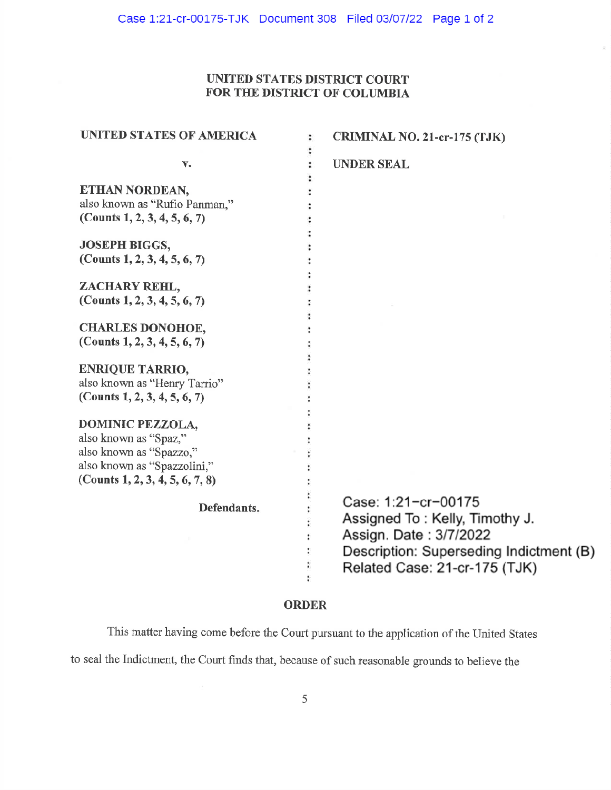## UNITED STATES DISTRICT COURT FOR THE DISTRICT OF COLUMBIA

| UNITED STATES OF AMERICA                                                                                                                      | <b>CRIMINAL NO. 21-cr-175 (TJK)</b><br>:                                                                                                                    |
|-----------------------------------------------------------------------------------------------------------------------------------------------|-------------------------------------------------------------------------------------------------------------------------------------------------------------|
| v.                                                                                                                                            | <b>UNDER SEAL</b>                                                                                                                                           |
| ETHAN NORDEAN,<br>also known as "Rufio Panman,"<br>(Counts 1, 2, 3, 4, 5, 6, 7)                                                               |                                                                                                                                                             |
| <b>JOSEPH BIGGS,</b><br>(Counts $1, 2, 3, 4, 5, 6, 7$ )                                                                                       |                                                                                                                                                             |
| ZACHARY REHL,<br>(Counts $1, 2, 3, 4, 5, 6, 7$ )                                                                                              |                                                                                                                                                             |
| <b>CHARLES DONOHOE,</b><br>(Counts 1, 2, 3, 4, 5, 6, 7)                                                                                       |                                                                                                                                                             |
| <b>ENRIQUE TARRIO,</b><br>also known as "Henry Tarrio"<br>(Counts 1, 2, 3, 4, 5, 6, 7)                                                        |                                                                                                                                                             |
| <b>DOMINIC PEZZOLA,</b><br>also known as "Spaz,"<br>also known as "Spazzo,"<br>also known as "Spazzolini,"<br>(Counts 1, 2, 3, 4, 5, 6, 7, 8) |                                                                                                                                                             |
| Defendants.                                                                                                                                   | Case: 1:21-cr-00175<br>Assigned To: Kelly, Timothy J.<br>Assign. Date: 3/7/2022<br>Description: Superseding Indictment (B)<br>Related Case: 21-cr-175 (TJK) |

## **ORDER**

This matter having come before the Court pursuant to the application of the United States to seal the Indictment, the Court finds that, because of such reasonable grounds to believe the